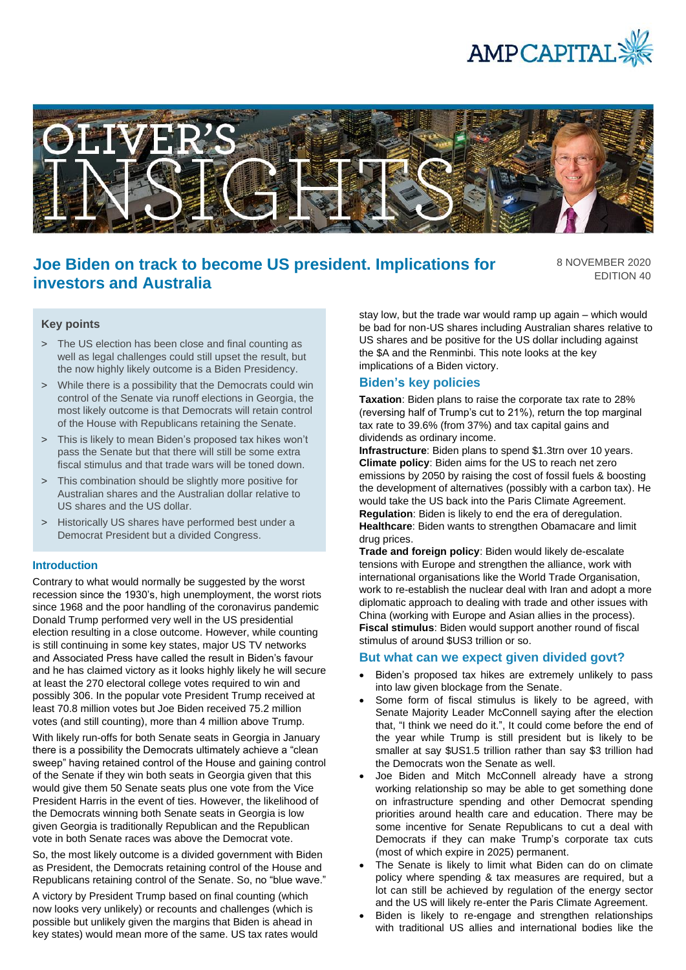



# **Joe Biden on track to become US president. Implications for investors and Australia**

8 NOVEMBER 2020 EDITION 40

## **Key points**

- > The US election has been close and final counting as well as legal challenges could still upset the result, but the now highly likely outcome is a Biden Presidency.
- > While there is a possibility that the Democrats could win control of the Senate via runoff elections in Georgia, the most likely outcome is that Democrats will retain control of the House with Republicans retaining the Senate.
- > This is likely to mean Biden's proposed tax hikes won't pass the Senate but that there will still be some extra fiscal stimulus and that trade wars will be toned down.
- > This combination should be slightly more positive for Australian shares and the Australian dollar relative to US shares and the US dollar.
- > Historically US shares have performed best under a Democrat President but a divided Congress.

#### **Introduction**

Contrary to what would normally be suggested by the worst recession since the 1930's, high unemployment, the worst riots since 1968 and the poor handling of the coronavirus pandemic Donald Trump performed very well in the US presidential election resulting in a close outcome. However, while counting is still continuing in some key states, major US TV networks and Associated Press have called the result in Biden's favour and he has claimed victory as it looks highly likely he will secure at least the 270 electoral college votes required to win and possibly 306. In the popular vote President Trump received at least 70.8 million votes but Joe Biden received 75.2 million votes (and still counting), more than 4 million above Trump.

With likely run-offs for both Senate seats in Georgia in January there is a possibility the Democrats ultimately achieve a "clean sweep" having retained control of the House and gaining control of the Senate if they win both seats in Georgia given that this would give them 50 Senate seats plus one vote from the Vice President Harris in the event of ties. However, the likelihood of the Democrats winning both Senate seats in Georgia is low given Georgia is traditionally Republican and the Republican vote in both Senate races was above the Democrat vote.

So, the most likely outcome is a divided government with Biden as President, the Democrats retaining control of the House and Republicans retaining control of the Senate. So, no "blue wave."

A victory by President Trump based on final counting (which now looks very unlikely) or recounts and challenges (which is possible but unlikely given the margins that Biden is ahead in key states) would mean more of the same. US tax rates would stay low, but the trade war would ramp up again – which would be bad for non-US shares including Australian shares relative to US shares and be positive for the US dollar including against the \$A and the Renminbi. This note looks at the key implications of a Biden victory.

#### **Biden's key policies**

**Taxation**: Biden plans to raise the corporate tax rate to 28% (reversing half of Trump's cut to 21%), return the top marginal tax rate to 39.6% (from 37%) and tax capital gains and dividends as ordinary income.

**Infrastructure**: Biden plans to spend \$1.3trn over 10 years. **Climate policy**: Biden aims for the US to reach net zero emissions by 2050 by raising the cost of fossil fuels & boosting the development of alternatives (possibly with a carbon tax). He would take the US back into the Paris Climate Agreement. **Regulation**: Biden is likely to end the era of deregulation. **Healthcare**: Biden wants to strengthen Obamacare and limit drug prices.

**Trade and foreign policy**: Biden would likely de-escalate tensions with Europe and strengthen the alliance, work with international organisations like the World Trade Organisation, work to re-establish the nuclear deal with Iran and adopt a more diplomatic approach to dealing with trade and other issues with China (working with Europe and Asian allies in the process). **Fiscal stimulus**: Biden would support another round of fiscal stimulus of around \$US3 trillion or so.

#### **But what can we expect given divided govt?**

- Biden's proposed tax hikes are extremely unlikely to pass into law given blockage from the Senate.
- Some form of fiscal stimulus is likely to be agreed, with Senate Majority Leader McConnell saying after the election that, "I think we need do it.", It could come before the end of the year while Trump is still president but is likely to be smaller at say \$US1.5 trillion rather than say \$3 trillion had the Democrats won the Senate as well.
- Joe Biden and Mitch McConnell already have a strong working relationship so may be able to get something done on infrastructure spending and other Democrat spending priorities around health care and education. There may be some incentive for Senate Republicans to cut a deal with Democrats if they can make Trump's corporate tax cuts (most of which expire in 2025) permanent.
- The Senate is likely to limit what Biden can do on climate policy where spending & tax measures are required, but a lot can still be achieved by regulation of the energy sector and the US will likely re-enter the Paris Climate Agreement.
- Biden is likely to re-engage and strengthen relationships with traditional US allies and international bodies like the